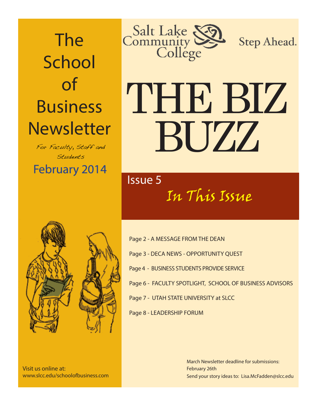The **School** of Business **Newsletter** 

**February 2014** For Faculty, Staff and Students



Step Ahead.

# THE BIZ BUZZ

### In This Issue Issue 5



Visit us online at: www.slcc.edu/schoolofbusiness.com

Page 2 - A MESSAGE FROM THE DEAN Page 3 - DECA NEWS - OPPORTUNITY QUEST Page 4 - BUSINESS STUDENTS PROVIDE SERVICE Page 6 - FACULTY SPOTLIGHT, SCHOOL OF BUSINESS ADVISORS Page 7 - UTAH STATE UNIVERSITY at SLCC Page 8 - LEADERSHIP FORUM

> Send your story ideas to: Lisa.McFadden@slcc.edu March Newsletter deadline for submissions: February 26th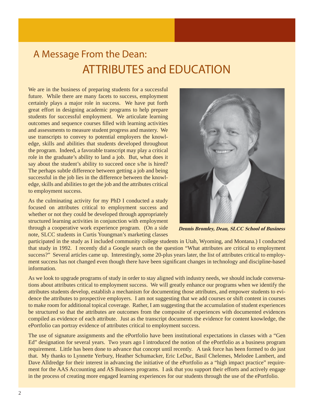### A Message From the Dean: ATTRIBUTES and EDUCATION

We are in the business of preparing students for a successful future. While there are many facets to success, employment certainly plays a major role in success. We have put forth great effort in designing academic programs to help prepare students for successful employment. We articulate learning outcomes and sequence courses filled with learning activities and assessments to measure student progress and mastery. We use transcripts to convey to potential employers the knowledge, skills and abilities that students developed throughout the program. Indeed, a favorable transcript may play a critical role in the graduate's ability to land a job. But, what does it say about the student's ability to succeed once s/he is hired? The perhaps subtle difference between getting a job and being successful in the job lies in the difference between the knowledge, skills and abilities to get the job and the attributes critical to employment success.

As the culminating activity for my PhD I conducted a study focused on attributes critical to employment success and whether or not they could be developed through appropriately structured learning activities in conjunction with employment through a cooperative work experience program. (On a side note, SLCC students in Curtis Youngman's marketing classes



 **Dennis Bromley, Dean, SLCC School of Business**

participated in the study as I included community college students in Utah, Wyoming, and Montana.) I conducted that study in 1992. I recently did a Google search on the question "What attributes are critical to employment success?" Several articles came up. Interestingly, some 20-plus years later, the list of attributes critical to employment success has not changed even though there have been significant changes in technology and discipline-based information.

As we look to upgrade programs of study in order to stay aligned with industry needs, we should include conversations about attributes critical to employment success. We will greatly enhance our programs when we identify the attributes students develop, establish a mechanism for documenting those attributes, and empower students to evidence the attributes to prospective employers. I am not suggesting that we add courses or shift content in courses to make room for additional topical coverage. Rather, I am suggesting that the accumulation of student experiences be structured so that the attributes are outcomes from the composite of experiences with documented evidences compiled as evidence of each attribute. Just as the transcript documents the evidence for content knowledge, the ePortfolio can portray evidence of attributes critical to employment success.

The use of signature assignments and the ePortfolio have been institutional expectations in classes with a "Gen Ed" designation for several years. Two years ago I introduced the notion of the ePortfolio as a business program requirement. Little has been done to advance that concept until recently. A task force has been formed to do just that. My thanks to Lynnette Yerbury, Heather Schumacker, Eric LeDuc, Basil Chelemes, Melodee Lambert, and Dave Alldredge for their interest in advancing the initiative of the ePortfolio as a "high impact practice" requirement for the AAS Accounting and AS Business programs. I ask that you support their efforts and actively engage in the process of creating more engaged learning experiences for our students through the use of the ePortfolio.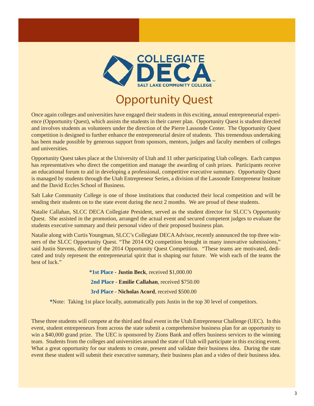

### Opportunity Quest

 Once again colleges and universities have engaged their students in this exciting, annual entrepreneurial experience (Opportunity Quest), which assists the students in their career plan. Opportunity Quest is student directed and involves students as volunteers under the direction of the Pierre Lassonde Center. The Opportunity Quest competition is designed to further enhance the entrepreneurial desire of students. This tremendous undertaking has been made possible by generous support from sponsors, mentors, judges and faculty members of colleges and universities.

Opportunity Quest takes place at the University of Utah and 11 other participating Utah colleges. Each campus has representatives who direct the competition and manage the awarding of cash prizes. Participants receive an educational forum to aid in developing a professional, competitive executive summary. Opportunity Quest is managed by students through the Utah Entrepreneur Series, a division of the Lassonde Entrepreneur Institute and the David Eccles School of Business.

Salt Lake Community College is one of those institutions that conducted their local competition and will be sending their students on to the state event during the next 2 months. We are proud of these students.

Natalie Callahan, SLCC DECA Collegiate President, served as the student director for SLCC's Opportunity Quest. She assisted in the promotion, arranged the actual event and secured competent judges to evaluate the students executive summary and their personal video of their proposed business plan.

Natalie along with Curtis Youngman, SLCC's Collegiate DECA Advisor, recently announced the top three winners of the SLCC Opportunity Quest. "The 2014 OQ competition brought in many innovative submissions," said Justin Stevens, director of the 2014 Opportunity Quest Competition. "These teams are motivated, dedicated and truly represent the entrepreneurial spirit that is shaping our future. We wish each of the teams the best of luck."

> **\*1st Place** - **Justin Beck**, received \$1,000.00 **2nd Place** - **Emilie Callahan**, received \$750.00 **3rd Place** - **Nicholas Acord**, received \$500.00

**\***Note: Taking 1st place locally, automatically puts Justin in the top 30 level of competitors.

These three students will compete at the third and final event in the Utah Entrepreneur Challenge (UEC). In this event, student entrepreneurs from across the state submit a comprehensive business plan for an opportunity to win a \$40,000 grand prize. The UEC is sponsored by Zions Bank and offers business services to the winning team. Students from the colleges and universities around the state of Utah will participate in this exciting event. What a great opportunity for our students to create, present and validate their business idea. During the state event these student will submit their executive summary, their business plan and a video of their business idea.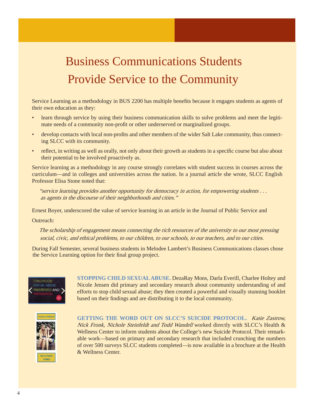### Business Communications Students Provide Service to the Community

Service Learning as a methodology in BUS 2200 has multiple benefits because it engages students as agents of their own education as they:

- learn through service by using their business communication skills to solve problems and meet the legitimate needs of a community non-profit or other underserved or marginalized groups.
- develop contacts with local non-profits and other members of the wider Salt Lake community, thus connecting SLCC with its community.
- reflect, in writing as well as orally, not only about their growth as students in a specific course but also about their potential to be involved proactively as.

Service learning as a methodology in any course strongly correlates with student success in courses across the curriculum—and in colleges and universities across the nation. In a journal article she wrote, SLCC English Professor Elisa Stone noted that:

 "service learning provides another opportunity for democracy in action, for empowering students . . . as agents in the discourse of their neighborhoods and cities."

Ernest Boyer, underscored the value of service learning in an article in the Journal of Public Service and

Outreach:

social, civic, and ethical problems, to our children, to our schools, to our teachers, and to our cities. The scholarship of engagement means connecting the rich resources of the university to our most pressing

 During Fall Semester, several business students in Melodee Lambert's Business Communications classes chose the Service Learning option for their final group project.



**STOPPING CHILD SEXUAL ABUSE.** DezaRay Mons, Darla Everill, Charlee Holtey and Nicole Jensen did primary and secondary research about community understanding of and efforts to stop child sexual abuse; they then created a powerful and visually stunning booklet based on their findings and are distributing it to the local community.



**GETTING THE WORD OUT ON SLCC'S SUICIDE PROTOCOL.** Katie Zastrow, Nick Fronk, Nichole Steinfeldt and Todd Wandell worked directly with SLCC's Health & Wellness Center to inform students about the College's new Suicide Protocol. Their remarkable work—based on primary and secondary research that included crunching the numbers of over 500 surveys SLCC students completed—is now available in a brochure at the Health & Wellness Center.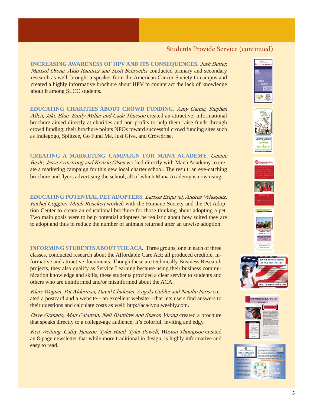### Students Provide Service (continued)

**INCREASING AWARENESS OF HPV AND ITS CONSEQUENCES.** Josh Butler, Marisol Orona, Aldo Ramirez and Scott Schroeder conducted primary and secondary research as well, brought a speaker from the American Cancer Society to campus and created a highly informative brochure about HPV to counteract the lack of knowledge about it among SLCC students.

**EDUCATING CHARITIES ABOUT CROWD FUNDING.** Amy Garcia, Stephen Allen, Jake Blue, Emily Millar and Cade Thueson created an attractive, informational brochure aimed directly at charities and non-profits to help them raise funds through crowd funding; their brochure points NPOs toward successful crowd funding sites such as Indiegogo, Splitzee, Go Fund Me, Just Give, and Crowdrise.

**CREATING A MARKETING CAMPAIGN FOR MANA ACADEMY.** Gennie Beale, Jesse Armstrong and Kenzie Olsen worked directly with Mana Academy to create a marketing campaign for this new local charter school. The result: an eye-catching brochure and flyers advertising the school, all of which Mana Academy is now using.

**EDUCATING POTENTIAL PET ADOPTERS.** Larissa Esquivel, Andrea Velasquez, Rachel Coggins, Mitch Reuckert worked with the Humane Society and the Pet Adoption Center to create an educational brochure for those thinking about adopting a pet. Two main goals were to help potential adoptees be realistic about how suited they are to adopt and thus to reduce the number of animals returned after an unwise adoption.

**INFORMING STUDENTS ABOUT THE ACA.** Three groups, one in each of three classes, conducted research about the Affordable Care Act; all produced credible, informative and attractive documents. Though these are technically Business Research projects, they also qualify as Service Learning because using their business communication knowledge and skills, these students provided a clear service to students and others who are uninformed and/or misinformed about the ACA.

Klare Wagner, Pat Alderman, David Chidester, Angala Gubler and Natalie Parisi created a postcard and a website—an excellent website—that lets users find answers to their questions and calculate costs as well: http://aca4you.weebly.com.

Dave Granado, Matt Calaman, Neil Blamires and Sharon Vuong created a brochure that speaks directly to a college-age audience; it's colorful, inviting and edgy.

Ken Weihing, Cathy Hanzon, Tyler Hand, Tyler Powell, Weston Thompson created an 8-page newsletter that while more traditional in design, is highly informative and easy to read.















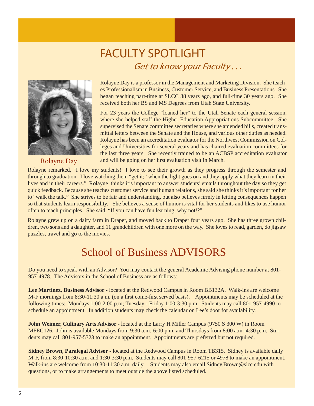# FACULTY SPOTLIGHT<br>Get to know your Faculty...



Rolayne Day

Rolayne Day is a professor in the Management and Marketing Division. She teaches Professionalism in Business, Customer Service, and Business Presentations. She began teaching part-time at SLCC 38 years ago, and full-time 30 years ago. She received both her BS and MS Degrees from Utah State University.

For 23 years the College "loaned her" to the Utah Senate each general session, where she helped staff the Higher Education Appropriations Subcommittee. She supervised the Senate committee secretaries where she amended bills, created transmittal letters between the Senate and the House, and various other duties as needed. Rolayne has been an accreditation evaluator for the Northwest Commission on Colleges and Universities for several years and has chaired evaluation committees for the last three years. She recently trained to be an ACBSP accreditation evaluator and will be going on her first evaluation visit in March.

Rolayne remarked, "I love my students! I love to see their growth as they progress through the semester and through to graduation. I love watching them "get it;" when the light goes on and they apply what they learn in their lives and in their careers." Rolayne thinks it's important to answer students' emails throughout the day so they get quick feedback. Because she teaches customer service and human relations, she said she thinks it's important for her to "walk the talk." She strives to be fair and understanding, but also believes firmly in letting consequences happen so that students learn responsibility. She believes a sense of humor is vital for her students and likes to use humor often to teach principles. She said, "If you can have fun learning, why not!?"

Rolayne grew up on a dairy farm in Draper, and moved back to Draper four years ago. She has three grown children, two sons and a daughter, and 11 grandchildren with one more on the way. She loves to read, garden, do jigsaw puzzles, travel and go to the movies.

### School of Business ADVISORS

Do you need to speak with an Advisor? You may contact the general Academic Advising phone number at 801- 957-4978. The Advisors in the School of Business are as follows:

**Lee Martinez, Business Advisor -** located at the Redwood Campus in Room BB132A. Walk-ins are welcome M-F mornings from 8:30-11:30 a.m. (on a first come-first served basis). Appointments may be scheduled at the following times: Mondays 1:00-2:00 p.m; Tuesday - Friday 1:00-3:30 p.m. Students may call 801-957-4990 to schedule an appointment. In addition students may check the calendar on Lee's door for availability.

**John Weimer, Culinary Arts Advisor -** located at the Larry H Miller Campus (9750 S 300 W) in Room MFEC126. John is available Mondays from 9:30 a.m.-6:00 p.m. and Thursdays from 8:00 a.m.-4:30 p.m. Students may call 801-957-5323 to make an appointment. Appointments are preferred but not required.

**Sidney Brown, Paralegal Advisor -** located at the Redwood Campus in Room TB315. Sidney is available daily M-F, from 8:30-10:30 a.m. and 1:30-3:30 p.m. Students may call 801-957-6215 or 4978 to make an appointment. Walk-ins are welcome from 10:30-11:30 a.m. daily. Students may also email Sidney.Brown@slcc.edu with questions, or to make arrangements to meet outside the above listed scheduled.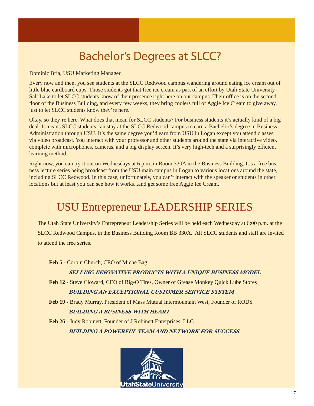### **EXECURDE Bachelor's Degrees at SLCC?**

Dominic Bria, USU Marketing Manager

I

Every now and then, you see students at the SLCC Redwood campus wandering around eating ice cream out of little blue cardboard cups. Those students got that free ice cream as part of an effort by Utah State University – Salt Lake to let SLCC students know of their presence right here on our campus. Their office is on the second floor of the Business Building, and every few weeks, they bring coolers full of Aggie Ice Cream to give away, just to let SLCC students know they're here.

Okay, so they're here. What does that mean for SLCC students? For business students it's actually kind of a big deal. It means SLCC students can stay at the SLCC Redwood campus to earn a Bachelor's degree in Business Administration through USU. It's the same degree you'd earn from USU in Logan except you attend classes via video broadcast. You interact with your professor and other students around the state via interactive video, complete with microphones, cameras, and a big display screen. It's very high-tech and a surprisingly efficient learning method.

Right now, you can try it out on Wednesdays at 6 p.m. in Room 330A in the Business Building. It's a free business lecture series being broadcast from the USU main campus in Logan to various locations around the state, including SLCC Redwood. In this case, unfortunately, you can't interact with the speaker or students in other locations but at least you can see how it works...and get some free Aggie Ice Cream.

### USU Entrepreneur LEADERSHIP SERIES

 The Utah State University's Entrepreneur Leadership Series will be held each Wednesday at 6:00 p.m. at the SLCC Redwood Campus, in the Business Building Room BB 330A. All SLCC students and staff are invited to attend the free series.

 **Feb 5** - Corbin Church, CEO of Miche Bag

#### **SELLING INNOVATIVE PRODUCTS WITH A UNIQUE BUSINESS MODEL**

 **Feb 12** - Steve Cloward, CEO of Big-O Tires, Owner of Grease Monkey Quick Lube Stores **BUILDING AN EXCEPTIONAL CUSTOMER SERVICE SYSTEM**

 **Feb 19** - Brady Murray, President of Mass Mutual Intermountain West, Founder of RODS **BUILDING A BUSINESS WITH HEART**

 **Feb 26** - Judy Robinett, Founder of J Robinett Enterprises, LLC **BUILDING A POWERFUL TEAM AND NETWORK FOR SUCCESS**